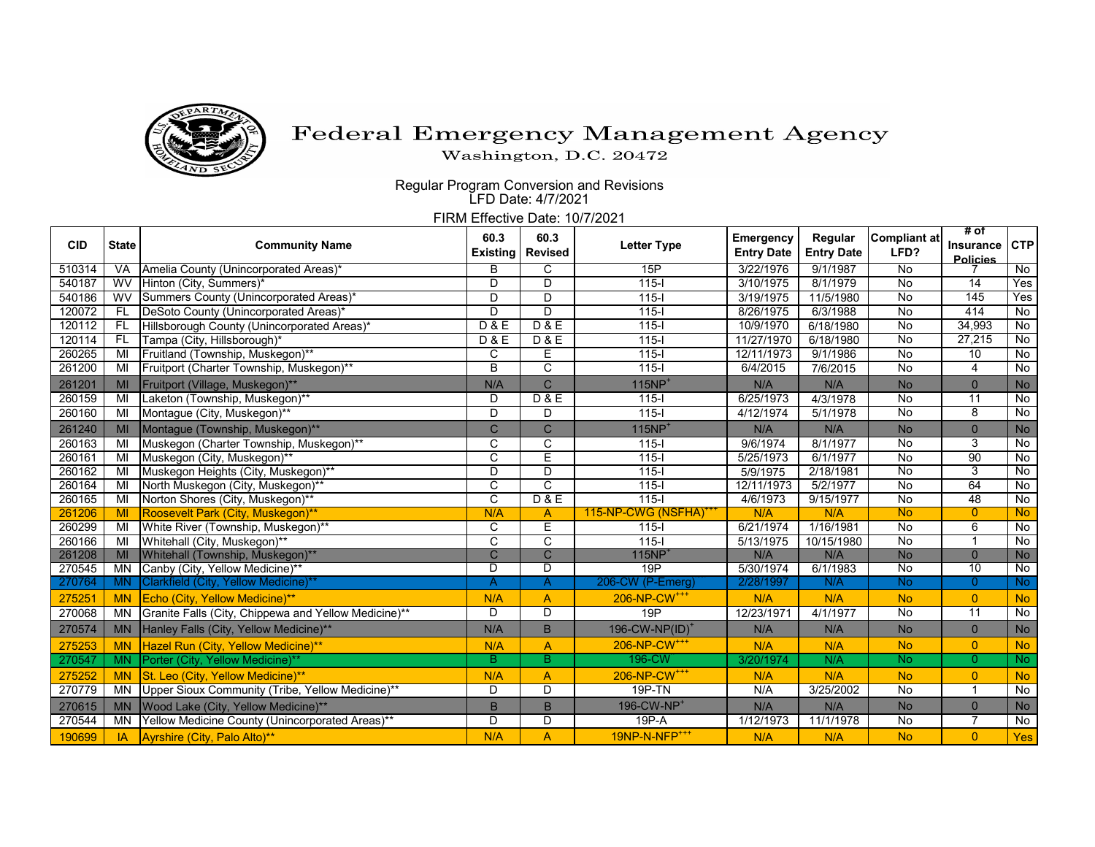

## Federal Emergency Management Agency

Washington, D.C. 20472

 Regular Program Conversion and Revisions LFD Date: 4/7/2021

FIRM Effective Date: 10/7/2021

| <b>CID</b> | <b>State</b> | <b>Community Name</b>                                | 60.3<br><b>Existing</b> | 60.3<br><b>Revised</b> | <b>Letter Type</b>         | Emergency<br><b>Entry Date</b> | Regular<br><b>Entry Date</b> | <b>Compliant at</b><br>LFD? | # of                         |                |
|------------|--------------|------------------------------------------------------|-------------------------|------------------------|----------------------------|--------------------------------|------------------------------|-----------------------------|------------------------------|----------------|
|            |              |                                                      |                         |                        |                            |                                |                              |                             | Insurance<br><b>Policies</b> | <b>CTP</b>     |
| 510314     | <b>VA</b>    | Amelia County (Unincorporated Areas)*                | B                       | C                      | 15P                        | 3/22/1976                      | 9/1/1987                     | No                          |                              | No             |
| 540187     | <b>WV</b>    | Hinton (City, Summers)*                              | D                       | D                      | $115 -$                    | 3/10/1975                      | 8/1/1979                     | No                          | $\overline{14}$              | Yes            |
| 540186     | <b>WV</b>    | Summers County (Unincorporated Areas)*               | D                       | D                      | $115 -$                    | 3/19/1975                      | 11/5/1980                    | No                          | 145                          | Yes            |
| 120072     | <b>FL</b>    | DeSoto County (Unincorporated Areas)*                | D                       | D                      | $115 -$                    | 8/26/1975                      | 6/3/1988                     | No                          | 414                          | No             |
| 120112     | FL           | Hillsborough County (Unincorporated Areas)*          | D & E                   | D & E                  | $115 -$                    | 10/9/1970                      | 6/18/1980                    | $\overline{N}$              | 34,993                       | $\overline{N}$ |
| 120114     | <b>FL</b>    | Tampa (City, Hillsborough)*                          | D & E                   | D & E                  | $115 -$                    | 11/27/1970                     | 6/18/1980                    | $\overline{N}$              | 27,215                       | No             |
| 260265     | MI           | Fruitland (Township, Muskegon)**                     | C                       | Е                      | $115 -$                    | 12/11/1973                     | 9/1/1986                     | $\overline{N}$              | 10                           | No             |
| 261200     | MI           | Fruitport (Charter Township, Muskegon)**             | $\overline{B}$          | $\overline{C}$         | $115 -$                    | 6/4/2015                       | 7/6/2015                     | No                          | 4                            | No             |
| 261201     | MI           | Fruitport (Village, Muskegon)**                      | N/A                     | $\mathsf{C}$           | $115NP+$                   | N/A                            | N/A                          | <b>No</b>                   | $\mathbf{0}$                 | <b>No</b>      |
| 260159     | MI           | Laketon (Township, Muskegon)**                       | D                       | D & E                  | $115 -$                    | 6/25/1973                      | 4/3/1978                     | No                          | $\overline{11}$              | $\overline{N}$ |
| 260160     | MI           | Montague (City, Muskegon)**                          | D                       | D                      | $115 -$                    | 4/12/1974                      | 5/1/1978                     | $\overline{N}$              | $\overline{8}$               | No             |
| 261240     | MI           | Montague (Township, Muskegon)**                      | C                       | $\mathsf{C}$           | $115NP+$                   | N/A                            | N/A                          | <b>No</b>                   | $\mathbf{0}$                 | No             |
| 260163     | MI           | Muskegon (Charter Township, Muskegon)**              | C                       | C                      | $115 -$                    | 9/6/1974                       | 8/1/1977                     | No                          | 3                            | No             |
| 260161     | MI           | Muskegon (City, Muskegon)**                          | $\overline{C}$          | Ē                      | $115 -$                    | 5/25/1973                      | 6/1/1977                     | $\overline{N}$              | 90                           | No             |
| 260162     | MI           | Muskegon Heights (City, Muskegon)**                  | D                       | D                      | $115 -$                    | 5/9/1975                       | 2/18/1981                    | No                          | 3                            | No             |
| 260164     | MI           | North Muskegon (City, Muskegon)**                    | $\overline{c}$          | $\overline{C}$         | $115 -$                    | 12/11/1973                     | 5/2/1977                     | No                          | 64                           | $\overline{N}$ |
| 260165     | MI           | Norton Shores (City, Muskegon)**                     | $\overline{c}$          | D & E                  | $115 -$                    | 4/6/1973                       | 9/15/1977                    | No                          | 48                           | No             |
| 261206     | MI           | Roosevelt Park (City, Muskegon)**                    | N/A                     | $\overline{A}$         | 115-NP-CWG (NSFHA)         | N/A                            | N/A                          | <b>No</b>                   | $\mathbf{0}$                 | <b>No</b>      |
| 260299     | MI           | White River (Township, Muskegon)**                   | C                       | E                      | $115 -$                    | 6/21/1974                      | 1/16/1981                    | $\overline{N}$              | $6\overline{6}$              | $\overline{N}$ |
| 260166     | MI           | Whitehall (City, Muskegon)**                         | $\overline{C}$          | C                      | $115 -$                    | 5/13/1975                      | 10/15/1980                   | $\overline{N}$              | 1                            | No             |
| 261208     | MI           | Whitehall (Township, Muskegon)**                     | $\overline{C}$          | $\overline{C}$         | <b>115NP</b>               | N/A                            | N/A                          | No                          | $\overline{0}$               | No             |
| 270545     | <b>MN</b>    | Canby (City, Yellow Medicine)**                      | D                       | D                      | 19P                        | 5/30/1974                      | 6/1/1983                     | No                          | 10                           | $\overline{N}$ |
| 270764     | <b>MN</b>    | Clarkfield (City, Yellow Medicine)**                 | A                       | A                      | 206-CW (P-Emerg)           | 2/28/1997                      | N/A                          | <b>No</b>                   | $\overline{0}$               | <b>No</b>      |
| 275251     | <b>MN</b>    | Echo (City, Yellow Medicine)**                       | N/A                     | $\overline{A}$         | 206-NP-CW <sup>+++</sup>   | N/A                            | N/A                          | <b>No</b>                   | $\overline{0}$               | <b>No</b>      |
| 270068     | <b>MN</b>    | Granite Falls (City, Chippewa and Yellow Medicine)** | D                       | D                      | 19P                        | 12/23/1971                     | 4/1/1977                     | No                          | $\overline{11}$              | $\overline{N}$ |
| 270574     | <b>MN</b>    | Hanley Falls (City, Yellow Medicine)**               | N/A                     | B                      | 196-CW-NP(ID) <sup>+</sup> | N/A                            | N/A                          | <b>No</b>                   | $\pmb{0}$                    | <b>No</b>      |
| 275253     | <b>MN</b>    | Hazel Run (City, Yellow Medicine)**                  | N/A                     | $\overline{A}$         | 206-NP-CW <sup>+++</sup>   | N/A                            | N/A                          | <b>No</b>                   | $\overline{0}$               | <b>No</b>      |
| 270547     | <b>MN</b>    | Porter (City, Yellow Medicine)**                     | B                       | В                      | 196-CW                     | 3/20/1974                      | N/A                          | <b>No</b>                   | $\overline{0}$               | No             |
| 275252     | <b>MN</b>    | St. Leo (City, Yellow Medicine)**                    | N/A                     | $\overline{A}$         | 206-NP-CW <sup>+++</sup>   | N/A                            | N/A                          | <b>No</b>                   | $\overline{0}$               | <b>No</b>      |
| 270779     | <b>MN</b>    | Upper Sioux Community (Tribe, Yellow Medicine)**     | D                       | D                      | $19P-TN$                   | N/A                            | 3/25/2002                    | No                          | $\overline{1}$               | No             |
| 270615     | <b>MN</b>    | Wood Lake (City, Yellow Medicine)**                  | B                       | B                      | 196-CW-NP <sup>+</sup>     | N/A                            | N/A                          | <b>No</b>                   | $\overline{0}$               | No             |
| 270544     | MN           | Yellow Medicine County (Unincorporated Areas)**      | D                       | D                      | $19P - A$                  | 1/12/1973                      | 11/1/1978                    | No                          | 7                            | No             |
| 190699     | <b>IA</b>    | Ayrshire (City, Palo Alto)**                         | N/A                     | $\overline{A}$         | 19NP-N-NFP <sup>+++</sup>  | N/A                            | N/A                          | <b>No</b>                   | $\overline{0}$               | Yes            |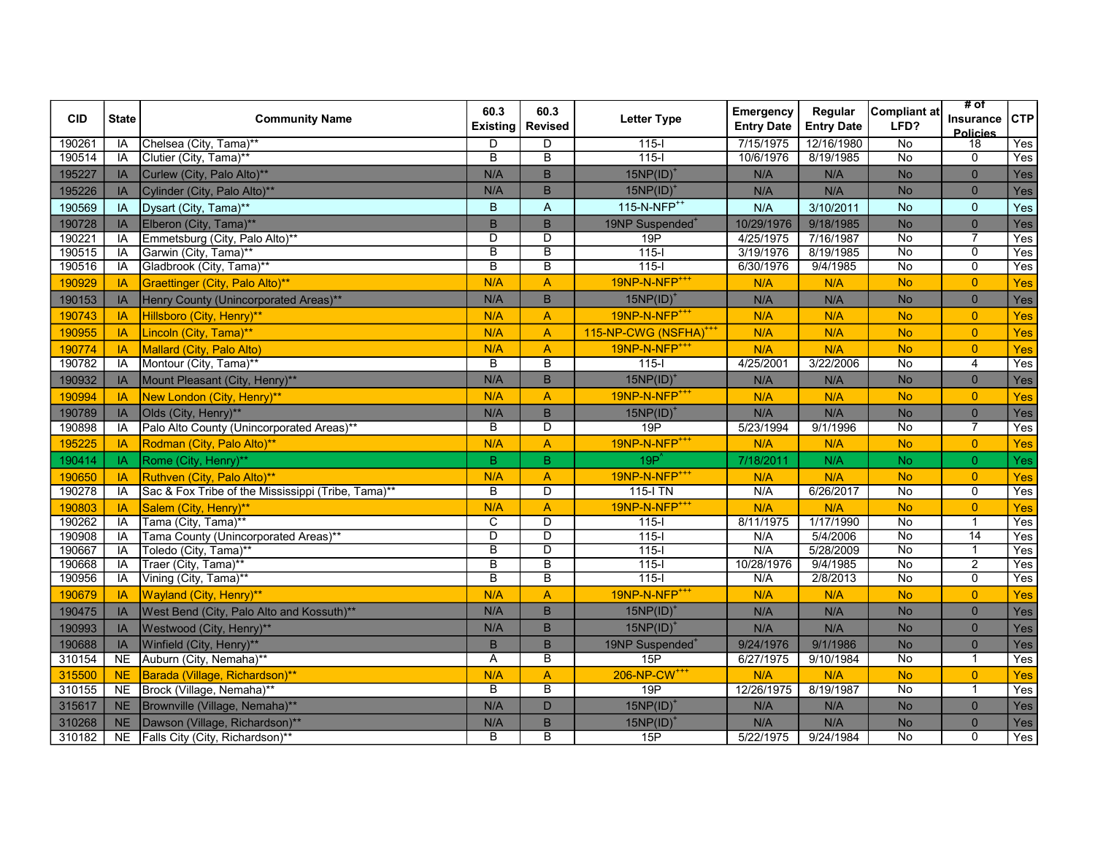| <b>CID</b> | <b>State</b> | <b>Community Name</b>                              | 60.3<br><b>Existing</b> | 60.3<br><b>Revised</b>  | <b>Letter Type</b>                | Emergency<br><b>Entry Date</b> | Regular<br><b>Entry Date</b> | <b>Compliant at</b><br>LFD? | # of<br><b>Insurance</b><br>Policies | <b>CTP</b>       |
|------------|--------------|----------------------------------------------------|-------------------------|-------------------------|-----------------------------------|--------------------------------|------------------------------|-----------------------------|--------------------------------------|------------------|
| 190261     | IA           | Chelsea (City, Tama)**                             | D                       | D                       | $115 -$                           | 7/15/1975                      | 12/16/1980                   | No                          | $\overline{18}$                      | Yes              |
| 190514     | IA           | Clutier (City, Tama)**                             | $\overline{\mathsf{B}}$ | $\overline{\mathsf{B}}$ | $115 -$                           | 10/6/1976                      | 8/19/1985                    | $\overline{N_{0}}$          | $\Omega$                             | $\overline{Yes}$ |
| 195227     | IA           | Curlew (City, Palo Alto)**                         | N/A                     | B                       | $15NP(ID)^{\dagger}$              | N/A                            | N/A                          | No                          | $\overline{0}$                       | Yes              |
| 195226     | IA           | Cylinder (City, Palo Alto)**                       | N/A                     | $\mathsf B$             | $15NP(ID)^*$                      | N/A                            | N/A                          | <b>No</b>                   | $\mathbf 0$                          | Yes              |
| 190569     | IA           | Dysart (City, Tama)**                              | B                       | A                       | 115-N-NFP <sup>++</sup>           | N/A                            | 3/10/2011                    | <b>No</b>                   | $\mathbf{0}$                         | Yes              |
| 190728     | IA           | Elberon (City, Tama)**                             | $\overline{B}$          | B                       | 19NP Suspended <sup>+</sup>       | 10/29/1976                     | 9/18/1985                    | <b>No</b>                   | $\overline{0}$                       | Yes              |
| 190221     | IA           | Emmetsburg (City, Palo Alto)**                     | $\overline{D}$          | $\overline{D}$          | 19P                               | 4/25/1975                      | 7/16/1987                    | <b>No</b>                   |                                      | Yes              |
| 190515     | IA           | Garwin (City, Tama)**                              | $\overline{\mathsf{B}}$ | $\overline{\mathsf{B}}$ | $115 -$                           | 3/19/1976                      | 8/19/1985                    | $\overline{N}$              | $\overline{0}$                       | Yes              |
| 190516     | IA           | Gladbrook (City, Tama)**                           | $\overline{\mathsf{B}}$ | $\overline{B}$          | $\overline{115-1}$                | 6/30/1976                      | 9/4/1985                     | No                          | $\overline{0}$                       | Yes              |
| 190929     | IA           | Graettinger (City, Palo Alto)**                    | N/A                     | A                       | 19NP-N-NFP <sup>+++</sup>         | N/A                            | N/A                          | <b>No</b>                   | $\overline{0}$                       | Yes              |
| 190153     | IA           | Henry County (Unincorporated Areas)**              | N/A                     | B                       | $15NP(ID)^*$                      | N/A                            | N/A                          | <b>No</b>                   | $\mathbf{0}$                         | Yes              |
| 190743     | IA           | Hillsboro (City, Henry)**                          | N/A                     | A                       | 19NP-N-NFP <sup>+++</sup>         | N/A                            | N/A                          | <b>No</b>                   | $\overline{0}$                       | Yes              |
| 190955     | IA           | Lincoln (City, Tama)**                             | N/A                     | $\overline{A}$          | 115-NP-CWG (NSFHA) <sup>+++</sup> | N/A                            | N/A                          | <b>No</b>                   | $\overline{0}$                       | Yes              |
| 190774     | IA           | Mallard (City, Palo Alto)                          | N/A                     | $\overline{A}$          | 19NP-N-NFP <sup>+++</sup>         | N/A                            | N/A                          | <b>No</b>                   | $\overline{0}$                       | Yes              |
| 190782     | IA           | Montour (City, Tama)**                             | $\overline{B}$          | $\overline{\mathsf{B}}$ | $115 -$                           | 4/25/2001                      | 3/22/2006                    | $\overline{N_{0}}$          | $\overline{4}$                       | Yes              |
| 190932     | IA           | Mount Pleasant (City, Henry)**                     | N/A                     | B                       | $15NP(ID)^+$                      | N/A                            | N/A                          | <b>No</b>                   | $\mathbf 0$                          | Yes              |
| 190994     | IA           | New London (City, Henry)**                         | N/A                     | $\overline{A}$          | 19NP-N-NFP <sup>+++</sup>         | N/A                            | N/A                          | <b>No</b>                   | $\overline{0}$                       | Yes              |
| 190789     | IA           | Olds (City, Henry)**                               | N/A                     | $\overline{B}$          | $15NP(ID)^+$                      | N/A                            | N/A                          | <b>No</b>                   | $\mathbf 0$                          | Yes              |
| 190898     | IA           | Palo Alto County (Unincorporated Areas)**          | B                       | $\overline{\mathsf{D}}$ | $\overline{19P}$                  | 5/23/1994                      | 9/1/1996                     | $\overline{N_{0}}$          | 7                                    | Yes              |
| 195225     | IA           | Rodman (City, Palo Alto)**                         | N/A                     | $\overline{A}$          | 19NP-N-NFP <sup>+++</sup>         | N/A                            | N/A                          | <b>No</b>                   | $\overline{0}$                       | Yes              |
| 190414     | IA           | Rome (City, Henry)**                               | $\, {\bf B}$            | $\mathsf B$             | $19P^2$                           | 7/18/2011                      | N/A                          | <b>No</b>                   | $\overline{0}$                       | Yes              |
| 190650     | IA           | Ruthven (City, Palo Alto)**                        | N/A                     | $\overline{A}$          | 19NP-N-NFP <sup>+++</sup>         | N/A                            | N/A                          | <b>No</b>                   | $\overline{0}$                       | Yes              |
| 190278     | IA           | Sac & Fox Tribe of the Mississippi (Tribe, Tama)** | B                       | $\overline{D}$          | $115$ - $1$ TN                    | N/A                            | 6/26/2017                    | $\overline{N}$              | $\mathbf 0$                          | Yes              |
| 190803     | IA           | Salem (City, Henry)**                              | N/A                     | A                       | 19NP-N-NFP <sup>+++</sup>         | N/A                            | N/A                          | <b>No</b>                   | $\overline{0}$                       | Yes              |
| 190262     | IA           | Tama (City, Tama)**                                | $\overline{C}$          | D                       | $115 -$                           | 8/11/1975                      | 1/17/1990                    | $\overline{N}$              | $\mathbf{1}$                         | Yes              |
| 190908     | IA           | Tama County (Unincorporated Areas)**               | $\overline{D}$          | $\overline{\mathsf{D}}$ | $115 -$                           | N/A                            | 5/4/2006                     | $\overline{N_{0}}$          | $\overline{14}$                      | Yes              |
| 190667     | IA           | Toledo (City, Tama)**                              | В                       | D                       | $115-I$                           | N/A                            | 5/28/2009                    | $\overline{N}$              | $\mathbf{1}$                         | Yes              |
| 190668     | IA           | Traer (City, Tama)**                               | $\overline{\mathsf{B}}$ | $\overline{\mathsf{B}}$ | $115 -$                           | 10/28/1976                     | 9/4/1985                     | $\overline{No}$             | $\overline{2}$                       | Yes              |
| 190956     | IA           | Vining (City, Tama)**                              | B                       | B                       | $115 -$                           | N/A                            | 2/8/2013                     | $\overline{N}$              | $\overline{0}$                       | Yes              |
| 190679     | IA           | Wayland (City, Henry)**                            | N/A                     | A                       | 19NP-N-NFP <sup>+++</sup>         | N/A                            | N/A                          | <b>No</b>                   | $\overline{0}$                       | Yes              |
| 190475     | IA           | West Bend (City, Palo Alto and Kossuth)**          | N/A                     | B                       | $15NP(ID)^*$                      | N/A                            | N/A                          | <b>No</b>                   | $\overline{0}$                       | Yes              |
| 190993     | IA           | Westwood (City, Henry)**                           | N/A                     | B                       | 15NP(ID)                          | N/A                            | N/A                          | <b>No</b>                   | $\overline{0}$                       | Yes              |
| 190688     | IA           | Winfield (City, Henry)**                           | B                       | B                       | 19NP Suspended <sup>+</sup>       | 9/24/1976                      | 9/1/1986                     | <b>No</b>                   | $\overline{0}$                       | Yes              |
| 310154     | <b>NE</b>    | Auburn (City, Nemaha)**                            | Α                       | $\overline{B}$          | 15P                               | 6/27/1975                      | 9/10/1984                    | $\overline{N}$              | $\mathbf{1}$                         | Yes              |
| 315500     | <b>NE</b>    | Barada (Village, Richardson)**                     | N/A                     | A                       | 206-NP-CW <sup>+++</sup>          | N/A                            | N/A                          | <b>No</b>                   | $\overline{0}$                       | Yes              |
| 310155     | <b>NE</b>    | Brock (Village, Nemaha)**                          | B                       | $\overline{B}$          | 19P                               | 12/26/1975                     | 8/19/1987                    | $\overline{N}$              | $\mathbf 1$                          | Yes              |
| 315617     | <b>NE</b>    | Brownville (Village, Nemaha)**                     | N/A                     | D                       | $15NP(ID)^*$                      | N/A                            | N/A                          | <b>No</b>                   | $\pmb{0}$                            | Yes              |
| 310268     | <b>NE</b>    | Dawson (Village, Richardson)**                     | N/A                     | $\overline{B}$          | 15NP(ID)                          | N/A                            | N/A                          | <b>No</b>                   | $\pmb{0}$                            | Yes              |
| 310182     | NE           | Falls City (City, Richardson)**                    | $\overline{\mathsf{B}}$ | $\overline{\mathsf{B}}$ | 15P                               | 5/22/1975                      | 9/24/1984                    | $\overline{No}$             | $\overline{0}$                       | Yes              |